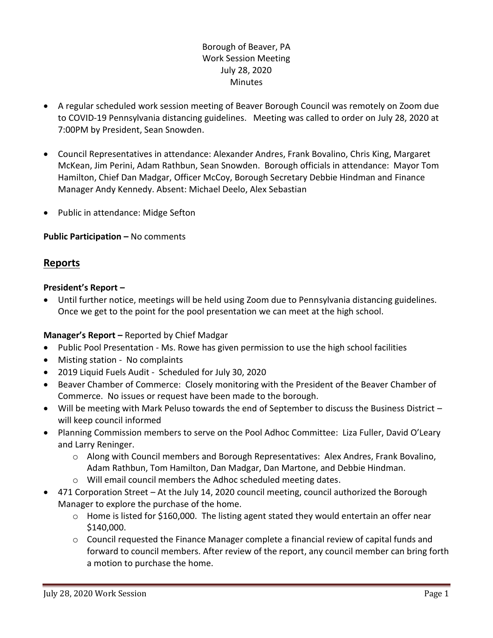# Borough of Beaver, PA Work Session Meeting July 28, 2020 **Minutes**

- A regular scheduled work session meeting of Beaver Borough Council was remotely on Zoom due to COVID-19 Pennsylvania distancing guidelines. Meeting was called to order on July 28, 2020 at 7:00PM by President, Sean Snowden.
- Council Representatives in attendance: Alexander Andres, Frank Bovalino, Chris King, Margaret McKean, Jim Perini, Adam Rathbun, Sean Snowden. Borough officials in attendance: Mayor Tom Hamilton, Chief Dan Madgar, Officer McCoy, Borough Secretary Debbie Hindman and Finance Manager Andy Kennedy. Absent: Michael Deelo, Alex Sebastian
- Public in attendance: Midge Sefton

# **Public Participation –** No comments

# **Reports**

## **President's Report –**

 Until further notice, meetings will be held using Zoom due to Pennsylvania distancing guidelines. Once we get to the point for the pool presentation we can meet at the high school.

## **Manager's Report –** Reported by Chief Madgar

- Public Pool Presentation Ms. Rowe has given permission to use the high school facilities
- Misting station No complaints
- 2019 Liquid Fuels Audit Scheduled for July 30, 2020
- Beaver Chamber of Commerce: Closely monitoring with the President of the Beaver Chamber of Commerce. No issues or request have been made to the borough.
- Will be meeting with Mark Peluso towards the end of September to discuss the Business District will keep council informed
- Planning Commission members to serve on the Pool Adhoc Committee: Liza Fuller, David O'Leary and Larry Reninger.
	- o Along with Council members and Borough Representatives: Alex Andres, Frank Bovalino, Adam Rathbun, Tom Hamilton, Dan Madgar, Dan Martone, and Debbie Hindman.
	- o Will email council members the Adhoc scheduled meeting dates.
- 471 Corporation Street At the July 14, 2020 council meeting, council authorized the Borough Manager to explore the purchase of the home.
	- o Home is listed for \$160,000. The listing agent stated they would entertain an offer near \$140,000.
	- $\circ$  Council requested the Finance Manager complete a financial review of capital funds and forward to council members. After review of the report, any council member can bring forth a motion to purchase the home.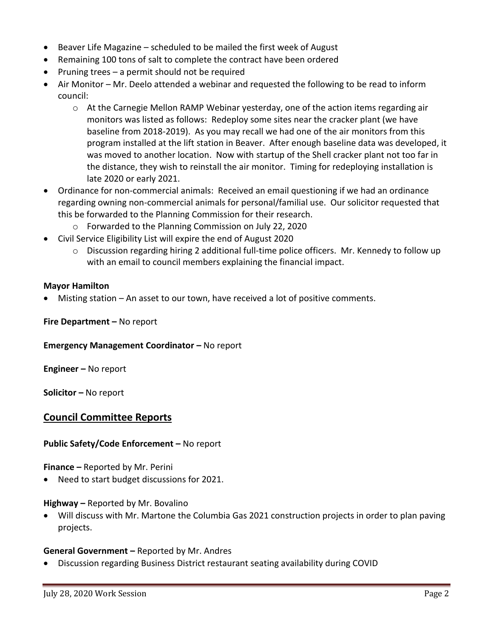- Beaver Life Magazine scheduled to be mailed the first week of August
- Remaining 100 tons of salt to complete the contract have been ordered
- Pruning trees a permit should not be required
- Air Monitor Mr. Deelo attended a webinar and requested the following to be read to inform council:
	- $\circ$  At the Carnegie Mellon RAMP Webinar yesterday, one of the action items regarding air monitors was listed as follows: Redeploy some sites near the cracker plant (we have baseline from 2018-2019). As you may recall we had one of the air monitors from this program installed at the lift station in Beaver. After enough baseline data was developed, it was moved to another location. Now with startup of the Shell cracker plant not too far in the distance, they wish to reinstall the air monitor. Timing for redeploying installation is late 2020 or early 2021.
- Ordinance for non-commercial animals: Received an email questioning if we had an ordinance regarding owning non-commercial animals for personal/familial use. Our solicitor requested that this be forwarded to the Planning Commission for their research.
	- o Forwarded to the Planning Commission on July 22, 2020
- Civil Service Eligibility List will expire the end of August 2020
	- $\circ$  Discussion regarding hiring 2 additional full-time police officers. Mr. Kennedy to follow up with an email to council members explaining the financial impact.

#### **Mayor Hamilton**

Misting station – An asset to our town, have received a lot of positive comments.

#### **Fire Department –** No report

#### **Emergency Management Coordinator - No report**

**Engineer –** No report

**Solicitor –** No report

## **Council Committee Reports**

### **Public Safety/Code Enforcement –** No report

**Finance –** Reported by Mr. Perini

Need to start budget discussions for 2021.

### **Highway –** Reported by Mr. Bovalino

 Will discuss with Mr. Martone the Columbia Gas 2021 construction projects in order to plan paving projects.

### **General Government –** Reported by Mr. Andres

Discussion regarding Business District restaurant seating availability during COVID